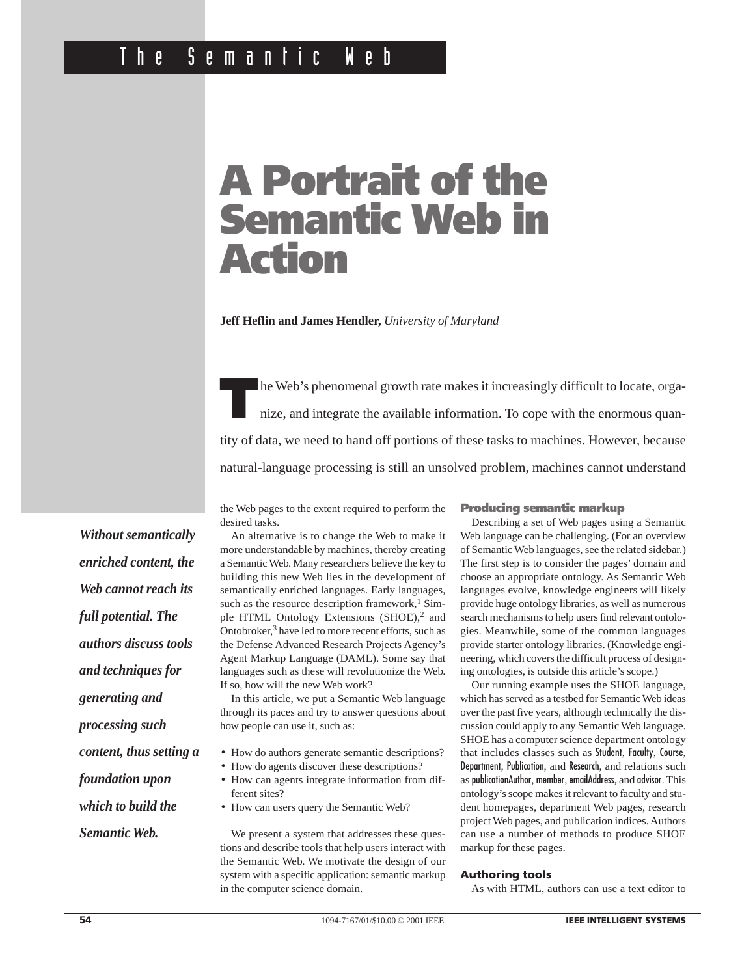# **A Portrait of the Semantic Web in Action**

**Jeff Heflin and James Hendler,** *University of Maryland*

**T**he Web's phenomenal growth rate makes it increasingly difficult to locate, organize, and integrate the available information. To cope with the enormous quantity of data, we need to hand off portions of these tasks to machines. However, because natural-language processing is still an unsolved problem, machines cannot understand

the Web pages to the extent required to perform the desired tasks.

An alternative is to change the Web to make it more understandable by machines, thereby creating a Semantic Web. Many researchers believe the key to building this new Web lies in the development of semantically enriched languages. Early languages, such as the resource description framework, $1$  Simple HTML Ontology Extensions (SHOE),<sup>2</sup> and Ontobroker,<sup>3</sup> have led to more recent efforts, such as the Defense Advanced Research Projects Agency's Agent Markup Language (DAML). Some say that languages such as these will revolutionize the Web. If so, how will the new Web work?

In this article, we put a Semantic Web language through its paces and try to answer questions about how people can use it, such as:

- How do authors generate semantic descriptions?
- How do agents discover these descriptions?
- How can agents integrate information from different sites?
- How can users query the Semantic Web?

We present a system that addresses these questions and describe tools that help users interact with the Semantic Web. We motivate the design of our system with a specific application: semantic markup in the computer science domain.

# **Producing semantic markup**

Describing a set of Web pages using a Semantic Web language can be challenging. (For an overview of Semantic Web languages, see the related sidebar.) The first step is to consider the pages' domain and choose an appropriate ontology. As Semantic Web languages evolve, knowledge engineers will likely provide huge ontology libraries, as well as numerous search mechanisms to help users find relevant ontologies. Meanwhile, some of the common languages provide starter ontology libraries. (Knowledge engineering, which covers the difficult process of designing ontologies, is outside this article's scope.)

Our running example uses the SHOE language, which has served as a testbed for Semantic Web ideas over the past five years, although technically the discussion could apply to any Semantic Web language. SHOE has a computer science department ontology that includes classes such as Student, Faculty, Course, Department, Publication, and Research, and relations such as publicationAuthor, member, emailAddress, and advisor. This ontology's scope makes it relevant to faculty and student homepages, department Web pages, research project Web pages, and publication indices. Authors can use a number of methods to produce SHOE markup for these pages.

#### **Authoring tools**

As with HTML, authors can use a text editor to

*Without semantically enriched content, the Web cannot reach its full potential. The authors discuss tools and techniques for generating and processing such content, thus setting a foundation upon which to build the*

*Semantic Web.*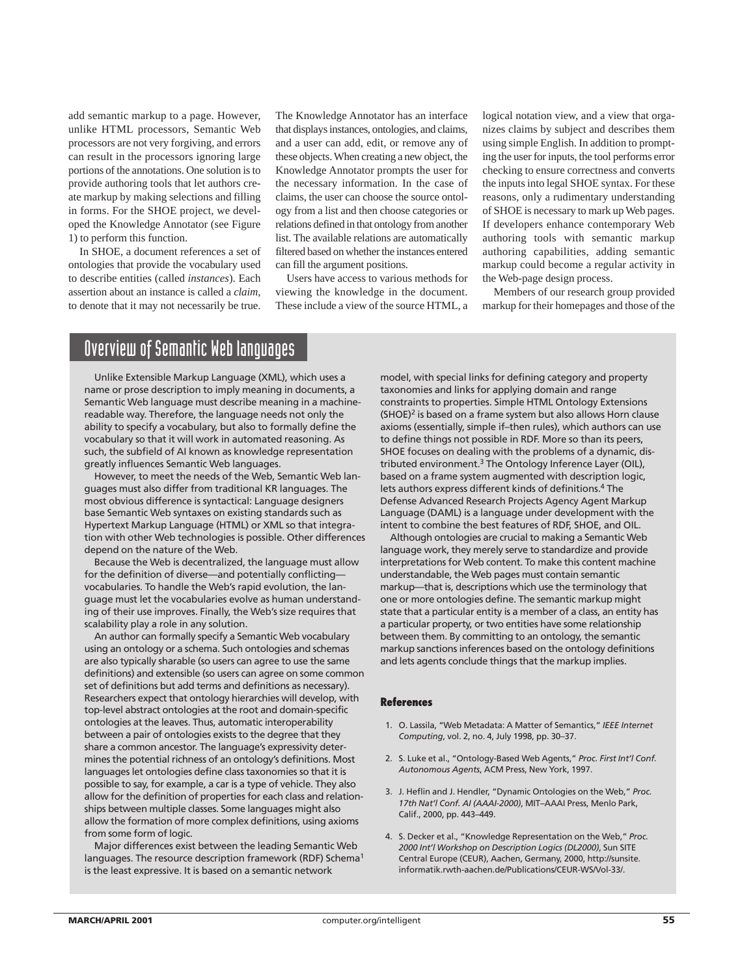add semantic markup to a page. However, unlike HTML processors, Semantic Web processors are not very forgiving, and errors can result in the processors ignoring large portions of the annotations. One solution is to provide authoring tools that let authors create markup by making selections and filling in forms. For the SHOE project, we developed the Knowledge Annotator (see Figure 1) to perform this function.

In SHOE, a document references a set of ontologies that provide the vocabulary used to describe entities (called *instances*). Each assertion about an instance is called a *claim*, to denote that it may not necessarily be true.

The Knowledge Annotator has an interface that displays instances, ontologies, and claims, and a user can add, edit, or remove any of these objects. When creating a new object, the Knowledge Annotator prompts the user for the necessary information. In the case of claims, the user can choose the source ontology from a list and then choose categories or relations defined in that ontology from another list. The available relations are automatically filtered based on whether the instances entered can fill the argument positions.

Users have access to various methods for viewing the knowledge in the document. These include a view of the source HTML, a logical notation view, and a view that organizes claims by subject and describes them using simple English. In addition to prompting the user for inputs, the tool performs error checking to ensure correctness and converts the inputs into legal SHOE syntax. For these reasons, only a rudimentary understanding of SHOE is necessary to mark up Web pages. If developers enhance contemporary Web authoring tools with semantic markup authoring capabilities, adding semantic markup could become a regular activity in the Web-page design process.

Members of our research group provided markup for their homepages and those of the

# Overview of Semantic Web languages

Unlike Extensible Markup Language (XML), which uses a name or prose description to imply meaning in documents, a Semantic Web language must describe meaning in a machinereadable way. Therefore, the language needs not only the ability to specify a vocabulary, but also to formally define the vocabulary so that it will work in automated reasoning. As such, the subfield of AI known as knowledge representation greatly influences Semantic Web languages.

However, to meet the needs of the Web, Semantic Web languages must also differ from traditional KR languages. The most obvious difference is syntactical: Language designers base Semantic Web syntaxes on existing standards such as Hypertext Markup Language (HTML) or XML so that integration with other Web technologies is possible. Other differences depend on the nature of the Web.

Because the Web is decentralized, the language must allow for the definition of diverse—and potentially conflicting vocabularies. To handle the Web's rapid evolution, the language must let the vocabularies evolve as human understanding of their use improves. Finally, the Web's size requires that scalability play a role in any solution.

An author can formally specify a Semantic Web vocabulary using an ontology or a schema. Such ontologies and schemas are also typically sharable (so users can agree to use the same definitions) and extensible (so users can agree on some common set of definitions but add terms and definitions as necessary). Researchers expect that ontology hierarchies will develop, with top-level abstract ontologies at the root and domain-specific ontologies at the leaves. Thus, automatic interoperability between a pair of ontologies exists to the degree that they share a common ancestor. The language's expressivity determines the potential richness of an ontology's definitions. Most languages let ontologies define class taxonomies so that it is possible to say, for example, a car is a type of vehicle. They also allow for the definition of properties for each class and relationships between multiple classes. Some languages might also allow the formation of more complex definitions, using axioms from some form of logic.

Major differences exist between the leading Semantic Web languages. The resource description framework (RDF) Schema<sup>1</sup> is the least expressive. It is based on a semantic network

model, with special links for defining category and property taxonomies and links for applying domain and range constraints to properties. Simple HTML Ontology Extensions (SHOE)<sup>2</sup> is based on a frame system but also allows Horn clause axioms (essentially, simple if–then rules), which authors can use to define things not possible in RDF. More so than its peers, SHOE focuses on dealing with the problems of a dynamic, distributed environment.<sup>3</sup> The Ontology Inference Layer (OIL), based on a frame system augmented with description logic, lets authors express different kinds of definitions.<sup>4</sup> The Defense Advanced Research Projects Agency Agent Markup Language (DAML) is a language under development with the intent to combine the best features of RDF, SHOE, and OIL.

Although ontologies are crucial to making a Semantic Web language work, they merely serve to standardize and provide interpretations for Web content. To make this content machine understandable, the Web pages must contain semantic markup—that is, descriptions which use the terminology that one or more ontologies define. The semantic markup might state that a particular entity is a member of a class, an entity has a particular property, or two entities have some relationship between them. By committing to an ontology, the semantic markup sanctions inferences based on the ontology definitions and lets agents conclude things that the markup implies.

#### **References**

- 1. O. Lassila, "Web Metadata: A Matter of Semantics," *IEEE Internet Computing*, vol. 2, no. 4, July 1998, pp. 30–37.
- 2. S. Luke et al., "Ontology-Based Web Agents," *Proc. First Int'l Conf. Autonomous Agents*, ACM Press, New York, 1997.
- 3. J. Heflin and J. Hendler, "Dynamic Ontologies on the Web," *Proc. 17th Nat'l Conf. AI (AAAI-2000)*, MIT–AAAI Press, Menlo Park, Calif., 2000, pp. 443–449.
- 4. S. Decker et al., "Knowledge Representation on the Web," *Proc. 2000 Int'l Workshop on Description Logics (DL2000)*, Sun SITE Central Europe (CEUR), Aachen, Germany, 2000, http://sunsite. informatik.rwth-aachen.de/Publications/CEUR-WS/Vol-33/.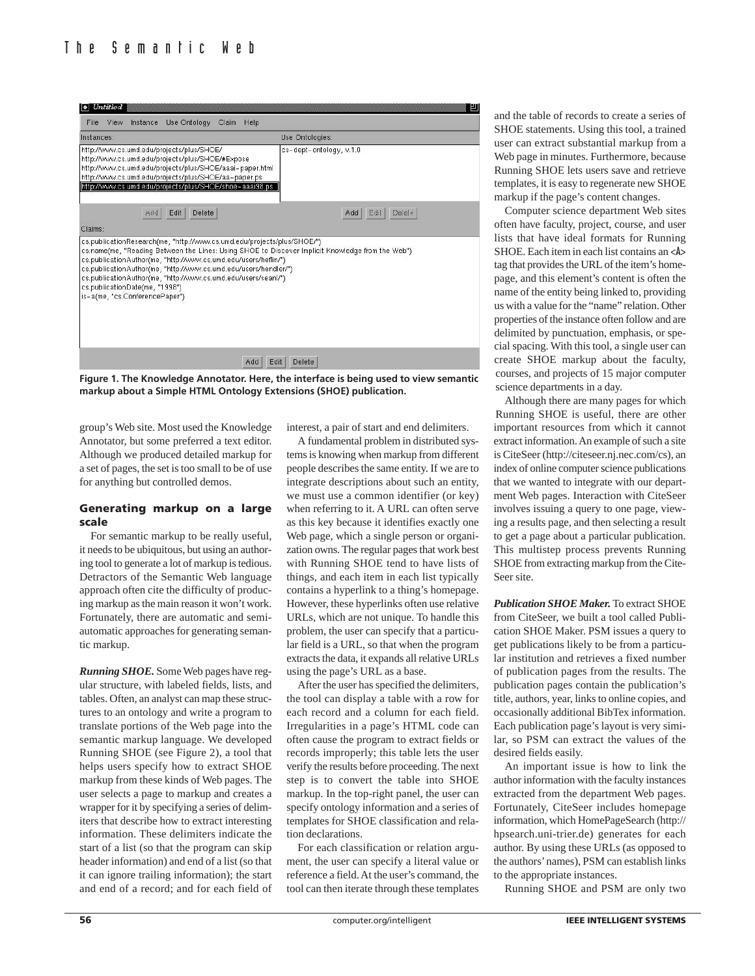

**Figure 1. The Knowledge Annotator. Here, the interface is being used to view semantic markup about a Simple HTML Ontology Extensions (SHOE) publication.**

group's Web site. Most used the Knowledge Annotator, but some preferred a text editor. Although we produced detailed markup for a set of pages, the set is too small to be of use for anything but controlled demos.

### **Generating markup on a large scale**

For semantic markup to be really useful, it needs to be ubiquitous, but using an authoring tool to generate a lot of markup is tedious. Detractors of the Semantic Web language approach often cite the difficulty of producing markup as the main reason it won't work. Fortunately, there are automatic and semiautomatic approaches for generating semantic markup.

*Running SHOE.* Some Web pages have regular structure, with labeled fields, lists, and tables. Often, an analyst can map these structures to an ontology and write a program to translate portions of the Web page into the semantic markup language. We developed Running SHOE (see Figure 2), a tool that helps users specify how to extract SHOE markup from these kinds of Web pages. The user selects a page to markup and creates a wrapper for it by specifying a series of delimiters that describe how to extract interesting information. These delimiters indicate the start of a list (so that the program can skip header information) and end of a list (so that it can ignore trailing information); the start and end of a record; and for each field of interest, a pair of start and end delimiters.

A fundamental problem in distributed systems is knowing when markup from different people describes the same entity. If we are to integrate descriptions about such an entity, we must use a common identifier (or key) when referring to it. A URL can often serve as this key because it identifies exactly one Web page, which a single person or organization owns. The regular pages that work best with Running SHOE tend to have lists of things, and each item in each list typically contains a hyperlink to a thing's homepage. However, these hyperlinks often use relative URLs, which are not unique. To handle this problem, the user can specify that a particular field is a URL, so that when the program extracts the data, it expands all relative URLs using the page's URL as a base.

After the user has specified the delimiters, the tool can display a table with a row for each record and a column for each field. Irregularities in a page's HTML code can often cause the program to extract fields or records improperly; this table lets the user verify the results before proceeding. The next step is to convert the table into SHOE markup. In the top-right panel, the user can specify ontology information and a series of templates for SHOE classification and relation declarations.

For each classification or relation argument, the user can specify a literal value or reference a field. At the user's command, the tool can then iterate through these templates and the table of records to create a series of SHOE statements. Using this tool, a trained user can extract substantial markup from a Web page in minutes. Furthermore, because Running SHOE lets users save and retrieve templates, it is easy to regenerate new SHOE markup if the page's content changes.

Computer science department Web sites often have faculty, project, course, and user lists that have ideal formats for Running SHOE. Each item in each list contains an <A> tag that provides the URL of the item's homepage, and this element's content is often the name of the entity being linked to, providing us with a value for the "name" relation. Other properties of the instance often follow and are delimited by punctuation, emphasis, or special spacing. With this tool, a single user can create SHOE markup about the faculty, courses, and projects of 15 major computer science departments in a day.

Although there are many pages for which Running SHOE is useful, there are other important resources from which it cannot extract information. An example of such a site is CiteSeer (http://citeseer.nj.nec.com/cs), an index of online computer science publications that we wanted to integrate with our department Web pages. Interaction with CiteSeer involves issuing a query to one page, viewing a results page, and then selecting a result to get a page about a particular publication. This multistep process prevents Running SHOE from extracting markup from the Cite-Seer site.

*Publication SHOE Maker.* To extract SHOE from CiteSeer, we built a tool called Publication SHOE Maker. PSM issues a query to get publications likely to be from a particular institution and retrieves a fixed number of publication pages from the results. The publication pages contain the publication's title, authors, year, links to online copies, and occasionally additional BibTex information. Each publication page's layout is very similar, so PSM can extract the values of the desired fields easily.

An important issue is how to link the author information with the faculty instances extracted from the department Web pages. Fortunately, CiteSeer includes homepage information, which HomePageSearch (http:// hpsearch.uni-trier.de) generates for each author. By using these URLs (as opposed to the authors'names), PSM can establish links to the appropriate instances.

Running SHOE and PSM are only two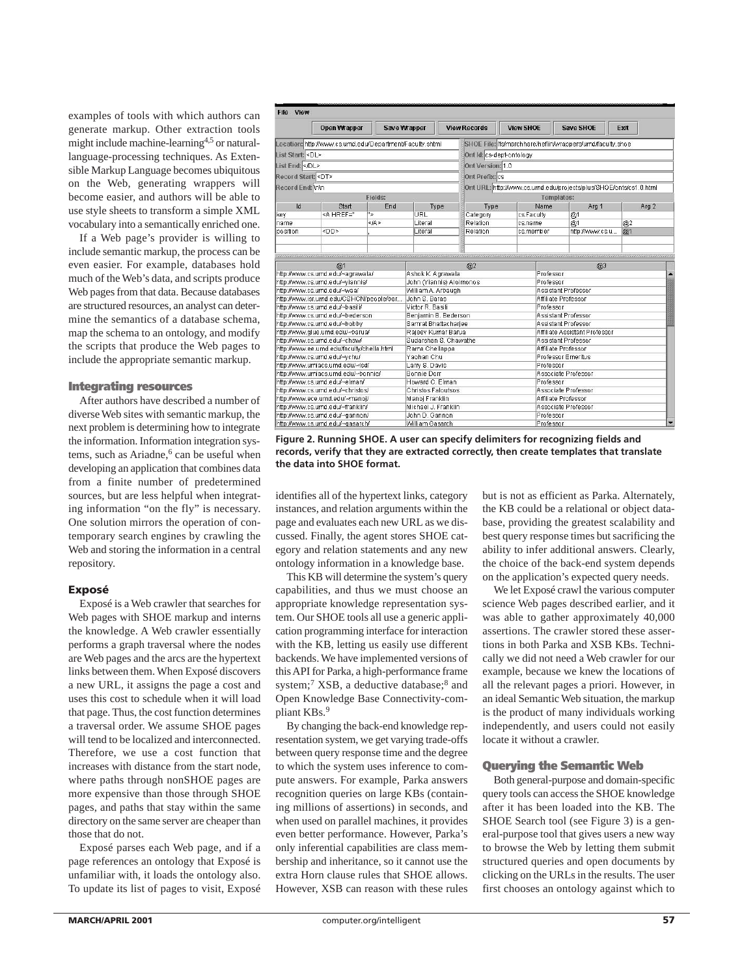examples of tools with which authors can generate markup. Other extraction tools might include machine-learning4,5 or naturallanguage-processing techniques. As Extensible Markup Language becomes ubiquitous on the Web, generating wrappers will become easier, and authors will be able to use style sheets to transform a simple XML vocabulary into a semantically enriched one.

If a Web page's provider is willing to include semantic markup, the process can be even easier. For example, databases hold much of the Web's data, and scripts produce Web pages from that data. Because databases are structured resources, an analyst can determine the semantics of a database schema, map the schema to an ontology, and modify the scripts that produce the Web pages to include the appropriate semantic markup.

#### **Integrating resources**

After authors have described a number of diverse Web sites with semantic markup, the next problem is determining how to integrate the information. Information integration systems, such as Ariadne,<sup>6</sup> can be useful when developing an application that combines data from a finite number of predetermined sources, but are less helpful when integrating information "on the fly" is necessary. One solution mirrors the operation of contemporary search engines by crawling the Web and storing the information in a central repository.

#### **Exposé**

Exposé is a Web crawler that searches for Web pages with SHOE markup and interns the knowledge. A Web crawler essentially performs a graph traversal where the nodes are Web pages and the arcs are the hypertext links between them. When Exposé discovers a new URL, it assigns the page a cost and uses this cost to schedule when it will load that page. Thus, the cost function determines a traversal order. We assume SHOE pages will tend to be localized and interconnected. Therefore, we use a cost function that increases with distance from the start node, where paths through nonSHOE pages are more expensive than those through SHOE pages, and paths that stay within the same directory on the same server are cheaper than those that do not.

Exposé parses each Web page, and if a page references an ontology that Exposé is unfamiliar with, it loads the ontology also. To update its list of pages to visit, Exposé

| List Start: <dl><br/>List End: </dl>                                                                   |                                                                                                                                                                    |                                                                             | Save Wrapper                      | <b>View Records</b>    | <b>View SHOE</b>         |                                  | Save SHOE                                                          | Exit |                      |  |
|--------------------------------------------------------------------------------------------------------|--------------------------------------------------------------------------------------------------------------------------------------------------------------------|-----------------------------------------------------------------------------|-----------------------------------|------------------------|--------------------------|----------------------------------|--------------------------------------------------------------------|------|----------------------|--|
|                                                                                                        | Location: http://www.cs.umd.edu/Department/Faculty.shtml                                                                                                           |                                                                             |                                   |                        |                          |                                  | SHOE File: /fs/marchhare/heflin/wrappers/umd/faculty.shoe          |      |                      |  |
|                                                                                                        |                                                                                                                                                                    |                                                                             |                                   |                        | Ont Id: cs-dept-ontology |                                  |                                                                    |      |                      |  |
|                                                                                                        |                                                                                                                                                                    |                                                                             |                                   |                        |                          |                                  |                                                                    |      |                      |  |
|                                                                                                        |                                                                                                                                                                    |                                                                             |                                   | Ont Version: 1.0       |                          |                                  |                                                                    |      |                      |  |
| Record Start: <dt></dt>                                                                                |                                                                                                                                                                    |                                                                             |                                   | Ont Prefix: cs         |                          |                                  |                                                                    |      |                      |  |
| Record End: Inin                                                                                       |                                                                                                                                                                    |                                                                             |                                   |                        |                          |                                  | Ont URL: http://www.cs.urnd.edu/projects/plus/SHOE/onts/cs1.0.html |      |                      |  |
|                                                                                                        |                                                                                                                                                                    | Fields:                                                                     |                                   |                        |                          | Templates:                       |                                                                    |      |                      |  |
| Id                                                                                                     | Start                                                                                                                                                              | End                                                                         | Type                              | Type                   |                          | Name                             | Arg 1                                                              |      | Arg 2                |  |
| key                                                                                                    | <A HREF="<br>٠,                                                                                                                                                    |                                                                             | URL                               | Category               | cs.Faculty               |                                  | @1                                                                 |      |                      |  |
| name                                                                                                   |                                                                                                                                                                    | $<$ $(A)$                                                                   | Literal                           | Relation               | cs.name                  |                                  | @1                                                                 |      | @2                   |  |
| position                                                                                               | <dd></dd>                                                                                                                                                          |                                                                             | Literal                           | Relation               | cs.member                |                                  | http://www.cs.u                                                    |      | @1                   |  |
|                                                                                                        |                                                                                                                                                                    |                                                                             |                                   |                        |                          |                                  |                                                                    |      |                      |  |
| @1                                                                                                     |                                                                                                                                                                    |                                                                             |                                   | @2                     | Q <sub>3</sub>           |                                  |                                                                    |      |                      |  |
| http://www.cs.umd.edu/~agrawala/                                                                       |                                                                                                                                                                    |                                                                             | Ashok K. Agrawala                 |                        | Professor                |                                  |                                                                    |      | $\ddot{\phantom{1}}$ |  |
|                                                                                                        | http://www.cs.umd.edu/~viannis/                                                                                                                                    |                                                                             | John (Yiannis) Aloimonos          |                        |                          | Professor                        |                                                                    |      |                      |  |
| http://www.cs.urnd.edu/~waa/<br>http://www.isr.umd.edu/CSHCN/people/bar                                |                                                                                                                                                                    |                                                                             | William A. Arbaugh                |                        |                          | Assistant Professor              |                                                                    |      |                      |  |
|                                                                                                        |                                                                                                                                                                    |                                                                             | John S. Baras<br>Victor R. Basili |                        |                          | Affiliate Professor<br>Professor |                                                                    |      |                      |  |
| http://www.cs.umd.edu/~basili/<br>http://www.cs.umd.edu/~bederson                                      |                                                                                                                                                                    |                                                                             | Benjamin B. Bederson              |                        |                          | Assistant Professor              |                                                                    |      |                      |  |
|                                                                                                        |                                                                                                                                                                    |                                                                             | Samrat Bhattacharjee              |                        |                          | Assistant Professor              |                                                                    |      |                      |  |
| http://www.cs.urnd.edu/~bobby<br>http://www.glue.umd.edu/~barua/                                       |                                                                                                                                                                    |                                                                             |                                   | Rajeev Kumar Barua     |                          |                                  | Affiliate Assistant Professor                                      |      |                      |  |
| http://www.cs.umd.edu/~chaw/                                                                           |                                                                                                                                                                    |                                                                             |                                   |                        |                          |                                  | Assistant Professor                                                |      |                      |  |
|                                                                                                        | http://www.ee.umd.edu/faculty/chella.html                                                                                                                          |                                                                             |                                   |                        |                          | Affiliate Professor              |                                                                    |      |                      |  |
|                                                                                                        | http://www.cs.umd.edu/~ychu/                                                                                                                                       | Sudarshan S. Chawathe<br>Rama Chellappa<br>Yaohan Chu<br>Professor Emeritus |                                   |                        |                          |                                  |                                                                    |      |                      |  |
| http://www.umiacs.umd.edu/~isd/                                                                        |                                                                                                                                                                    |                                                                             | Larry S. Davis                    |                        |                          | Professor                        |                                                                    |      |                      |  |
| http://www.umiacs.umd.edu/~bonnie/                                                                     |                                                                                                                                                                    |                                                                             | Bonnie Dorr                       |                        |                          | Associate Professor              |                                                                    |      |                      |  |
|                                                                                                        | http://www.cs.umd.edu/~elman/                                                                                                                                      |                                                                             |                                   | Howard C. Elman        |                          |                                  | Professor                                                          |      |                      |  |
|                                                                                                        | http://www.cs.urnd.edu/~christos/                                                                                                                                  |                                                                             |                                   |                        |                          |                                  |                                                                    |      |                      |  |
|                                                                                                        | Christos Faloutsos<br>Associate Professor<br>http://www.ece.umd.edu/~manoi/<br>Manoj Franklin<br>Affiliate Professor<br>Associate Professor<br>Michael J. Franklin |                                                                             |                                   |                        |                          |                                  |                                                                    |      |                      |  |
| http://www.cs.umd.edu/~franklin/                                                                       |                                                                                                                                                                    |                                                                             |                                   |                        |                          |                                  |                                                                    |      |                      |  |
| http://www.cs.umd.edu/~gannon/<br>John D. Gannon<br>http://www.cs.umd.edu/~gasarch/<br>William Gasarch |                                                                                                                                                                    |                                                                             |                                   | Professor<br>Professor |                          |                                  |                                                                    |      | ٠                    |  |

**Figure 2. Running SHOE. A user can specify delimiters for recognizing fields and records, verify that they are extracted correctly, then create templates that translate the data into SHOE format.**

identifies all of the hypertext links, category instances, and relation arguments within the page and evaluates each new URL as we discussed. Finally, the agent stores SHOE category and relation statements and any new ontology information in a knowledge base.

This KB will determine the system's query capabilities, and thus we must choose an appropriate knowledge representation system. Our SHOE tools all use a generic application programming interface for interaction with the KB, letting us easily use different backends. We have implemented versions of this API for Parka, a high-performance frame system;<sup>7</sup> XSB, a deductive database;<sup>8</sup> and Open Knowledge Base Connectivity-compliant KBs.9

By changing the back-end knowledge representation system, we get varying trade-offs between query response time and the degree to which the system uses inference to compute answers. For example, Parka answers recognition queries on large KBs (containing millions of assertions) in seconds, and when used on parallel machines, it provides even better performance. However, Parka's only inferential capabilities are class membership and inheritance, so it cannot use the extra Horn clause rules that SHOE allows. However, XSB can reason with these rules

but is not as efficient as Parka. Alternately, the KB could be a relational or object database, providing the greatest scalability and best query response times but sacrificing the ability to infer additional answers. Clearly, the choice of the back-end system depends on the application's expected query needs.

We let Exposé crawl the various computer science Web pages described earlier, and it was able to gather approximately 40,000 assertions. The crawler stored these assertions in both Parka and XSB KBs. Technically we did not need a Web crawler for our example, because we knew the locations of all the relevant pages a priori. However, in an ideal Semantic Web situation, the markup is the product of many individuals working independently, and users could not easily locate it without a crawler.

# **Querying the Semantic Web**

Both general-purpose and domain-specific query tools can access the SHOE knowledge after it has been loaded into the KB. The SHOE Search tool (see Figure 3) is a general-purpose tool that gives users a new way to browse the Web by letting them submit structured queries and open documents by clicking on the URLs in the results. The user first chooses an ontology against which to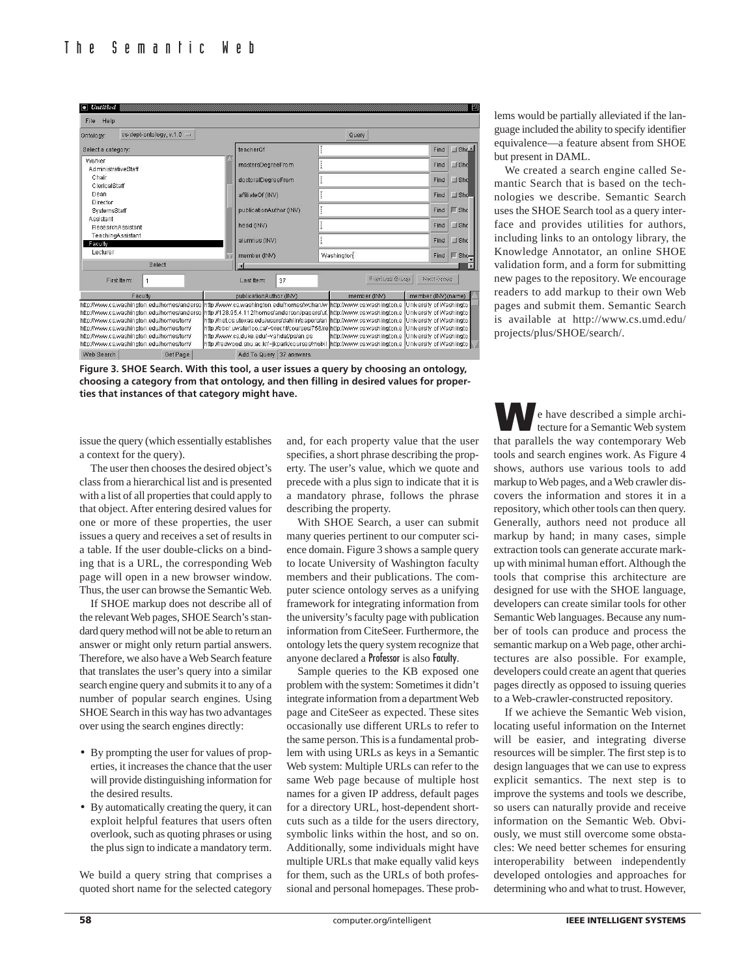| $\bullet$ Untitled                                                                                                                                              |                                                                                                                                                                                                                                                                                                                       |          |                         |                                                                                                                                                                                             |             |            |                                                                                                                                                                                                                                                           |                                                                                                                                     | 町                  |  |
|-----------------------------------------------------------------------------------------------------------------------------------------------------------------|-----------------------------------------------------------------------------------------------------------------------------------------------------------------------------------------------------------------------------------------------------------------------------------------------------------------------|----------|-------------------------|---------------------------------------------------------------------------------------------------------------------------------------------------------------------------------------------|-------------|------------|-----------------------------------------------------------------------------------------------------------------------------------------------------------------------------------------------------------------------------------------------------------|-------------------------------------------------------------------------------------------------------------------------------------|--------------------|--|
| Help<br>File                                                                                                                                                    |                                                                                                                                                                                                                                                                                                                       |          |                         |                                                                                                                                                                                             |             |            |                                                                                                                                                                                                                                                           |                                                                                                                                     |                    |  |
| Ontology:                                                                                                                                                       | cs-dept-ontology, $v.1.0$ =                                                                                                                                                                                                                                                                                           |          |                         | Query                                                                                                                                                                                       |             |            |                                                                                                                                                                                                                                                           |                                                                                                                                     |                    |  |
| Select a category:                                                                                                                                              |                                                                                                                                                                                                                                                                                                                       |          | teacherOf               |                                                                                                                                                                                             |             |            | Find                                                                                                                                                                                                                                                      | $J$ Shc $\triangle$                                                                                                                 |                    |  |
| Worker                                                                                                                                                          |                                                                                                                                                                                                                                                                                                                       |          |                         | mastersDegreeFrom                                                                                                                                                                           |             |            |                                                                                                                                                                                                                                                           | Find                                                                                                                                | $\Box$ Sho         |  |
| AdministrativeStaff<br>Chair<br>ClericalStaff<br>Dean<br>Director<br>SystemsStaff<br>Assistant<br>ResearchAssistant<br>TeachingAssistant<br>Faculty<br>Lecturer |                                                                                                                                                                                                                                                                                                                       |          |                         | doctoralDegreeFrom                                                                                                                                                                          |             |            |                                                                                                                                                                                                                                                           | Find                                                                                                                                | $\Box$ Sho         |  |
|                                                                                                                                                                 |                                                                                                                                                                                                                                                                                                                       |          |                         | affiliateOf (INV)<br>publicationAuthor (INV)<br>head (INV)<br>alumnus (INV)                                                                                                                 |             |            |                                                                                                                                                                                                                                                           | Find                                                                                                                                | $\Box$ Sho         |  |
|                                                                                                                                                                 |                                                                                                                                                                                                                                                                                                                       |          |                         |                                                                                                                                                                                             |             |            |                                                                                                                                                                                                                                                           | Find                                                                                                                                | $\blacksquare$ Sho |  |
|                                                                                                                                                                 |                                                                                                                                                                                                                                                                                                                       |          |                         |                                                                                                                                                                                             |             |            |                                                                                                                                                                                                                                                           | Find                                                                                                                                | $\Box$ Shc         |  |
|                                                                                                                                                                 |                                                                                                                                                                                                                                                                                                                       |          |                         |                                                                                                                                                                                             |             |            |                                                                                                                                                                                                                                                           | Find                                                                                                                                | $\Box$ She         |  |
|                                                                                                                                                                 |                                                                                                                                                                                                                                                                                                                       |          | member (INV)            |                                                                                                                                                                                             |             | Washington | Find                                                                                                                                                                                                                                                      | $\mathbb{F}$ Sho-                                                                                                                   |                    |  |
|                                                                                                                                                                 | Select                                                                                                                                                                                                                                                                                                                |          |                         | $\overline{4}$                                                                                                                                                                              |             |            |                                                                                                                                                                                                                                                           |                                                                                                                                     | 13                 |  |
|                                                                                                                                                                 | First Item:<br>1                                                                                                                                                                                                                                                                                                      |          |                         | Last Item:                                                                                                                                                                                  | 37          |            | Previous Oroun                                                                                                                                                                                                                                            | Next isroute                                                                                                                        |                    |  |
| Faculty                                                                                                                                                         |                                                                                                                                                                                                                                                                                                                       |          | publicationAuthor (INV) |                                                                                                                                                                                             |             |            | member (INV)                                                                                                                                                                                                                                              | member (INV)(name)                                                                                                                  |                    |  |
|                                                                                                                                                                 | http://www.cs.washington.edu/homes/anderso<br>http://www.cs.washington.edu/homes/anderso http://128.95.4.112/homes/anderson/papers/uf.<br>http://www.cs.washington.edu/homes/torn/<br>http://www.cs.washington.edu/homes/torn/<br>http://www.cs.washington.edu/homes/torn/<br>http://www.cs.washington.edu/homes/tom/ |          |                         | http://www.cs.washington.edu/homes/wchan/w<br>http://net.cs.utexas.edu/users/dahlin/papers/an<br>http://bbcr.uwaterloo.ca/~brecht/courses/756/re<br>http://www.cs.duke.edu/~vahdat/ps/an.ps |             |            | http://www.cs.washington.e<br>http://www.cs.washington.e<br>http://www.cs.washington.e<br>http://www.cs.washington.e<br>http://www.cs.washington.e<br>http://redwood.snu.ac.kr/~jkpark/courses/mobil  http://www.cs.washington.e  University of Washingto | University of Washingto<br>University of Washingto<br>University of Washingto<br>University of Washingto<br>University of Washingto |                    |  |
| Web Search                                                                                                                                                      |                                                                                                                                                                                                                                                                                                                       | Get Page |                         | Add To Query                                                                                                                                                                                | 37 answers. |            |                                                                                                                                                                                                                                                           |                                                                                                                                     |                    |  |

**Figure 3. SHOE Search. With this tool, a user issues a query by choosing an ontology, choosing a category from that ontology, and then filling in desired values for properties that instances of that category might have.**

lems would be partially alleviated if the language included the ability to specify identifier equivalence—a feature absent from SHOE but present in DAML.

We created a search engine called Semantic Search that is based on the technologies we describe. Semantic Search uses the SHOE Search tool as a query interface and provides utilities for authors, including links to an ontology library, the Knowledge Annotator, an online SHOE validation form, and a form for submitting new pages to the repository. We encourage readers to add markup to their own Web pages and submit them. Semantic Search is available at http://www.cs.umd.edu/ projects/plus/SHOE/search/.

issue the query (which essentially establishes a context for the query).

The user then chooses the desired object's class from a hierarchical list and is presented with a list of all properties that could apply to that object. After entering desired values for one or more of these properties, the user issues a query and receives a set of results in a table. If the user double-clicks on a binding that is a URL, the corresponding Web page will open in a new browser window. Thus, the user can browse the Semantic Web.

If SHOE markup does not describe all of the relevant Web pages, SHOE Search's standard query method will not be able to return an answer or might only return partial answers. Therefore, we also have a Web Search feature that translates the user's query into a similar search engine query and submits it to any of a number of popular search engines. Using SHOE Search in this way has two advantages over using the search engines directly:

- By prompting the user for values of properties, it increases the chance that the user will provide distinguishing information for the desired results.
- By automatically creating the query, it can exploit helpful features that users often overlook, such as quoting phrases or using the plus sign to indicate a mandatory term.

We build a query string that comprises a quoted short name for the selected category

and, for each property value that the user specifies, a short phrase describing the property. The user's value, which we quote and precede with a plus sign to indicate that it is a mandatory phrase, follows the phrase describing the property.

With SHOE Search, a user can submit many queries pertinent to our computer science domain. Figure 3 shows a sample query to locate University of Washington faculty members and their publications. The computer science ontology serves as a unifying framework for integrating information from the university's faculty page with publication information from CiteSeer. Furthermore, the ontology lets the query system recognize that anyone declared a Professor is also Faculty.

Sample queries to the KB exposed one problem with the system: Sometimes it didn't integrate information from a department Web page and CiteSeer as expected. These sites occasionally use different URLs to refer to the same person. This is a fundamental problem with using URLs as keys in a Semantic Web system: Multiple URLs can refer to the same Web page because of multiple host names for a given IP address, default pages for a directory URL, host-dependent shortcuts such as a tilde for the users directory, symbolic links within the host, and so on. Additionally, some individuals might have multiple URLs that make equally valid keys for them, such as the URLs of both professional and personal homepages. These prob-

**W**e have described a simple architecture for a Semantic Web system that parallels the way contemporary Web tools and search engines work. As Figure 4 shows, authors use various tools to add markup to Web pages, and a Web crawler discovers the information and stores it in a repository, which other tools can then query. Generally, authors need not produce all markup by hand; in many cases, simple extraction tools can generate accurate markup with minimal human effort. Although the tools that comprise this architecture are designed for use with the SHOE language, developers can create similar tools for other Semantic Web languages. Because any number of tools can produce and process the semantic markup on a Web page, other architectures are also possible. For example, developers could create an agent that queries pages directly as opposed to issuing queries to a Web-crawler-constructed repository.

If we achieve the Semantic Web vision, locating useful information on the Internet will be easier, and integrating diverse resources will be simpler. The first step is to design languages that we can use to express explicit semantics. The next step is to improve the systems and tools we describe, so users can naturally provide and receive information on the Semantic Web. Obviously, we must still overcome some obstacles: We need better schemes for ensuring interoperability between independently developed ontologies and approaches for determining who and what to trust. However,